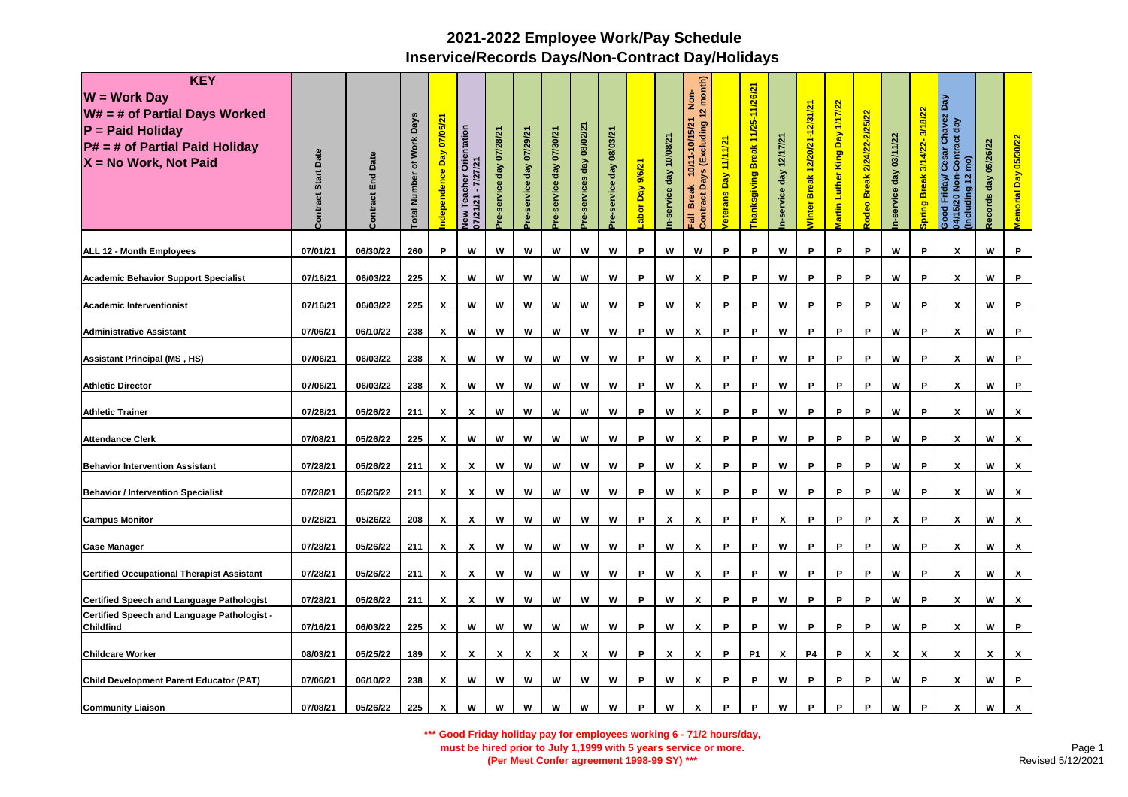| <b>KEY</b><br>$W = Work Day$<br>$W# = #$ of Partial Days Worked<br>$P =$ Paid Holiday<br>$P# = #$ of Partial Paid Holiday<br>X = No Work, Not Paid | Date<br>Start<br>Contract | <b>Contract End Date</b> | otal Number of Work Days | 07/05/21<br>Day<br>ndependence | Orientation<br>7/27/21<br>Teacher<br>07/21/21<br>New | Pre-service day 07/28/21 | Pre-service day 07/29/21 | Pre-service day 07/30/21 | Pre-services day 08/02/21 | 08/03/21<br>day<br>service | abor Day 9/6/21. | day 10/08/21<br>n-service | (Excluding 12 month)<br><u>ş</u><br>10/11-10/15/21<br><b>Days</b><br><b>Break</b><br>Contract<br><b>Fail</b> | 11/11/21<br>bay<br>/eterans | Break 11/25-11/26/21<br><b>hanksgiving</b> | n-service day 12/17/21 | Winter Break 12/20/21-12/31/21 | King Day 1/17/22<br>Martin Luther | <b>Break 2/24/22-2/25/22</b><br>Rodeo | n-service day 03/11/22 | Spring Break 3/14/22-3/18/22 | r Chavez Day<br>act day<br>Contract<br>Cesar<br>(pm<br>Friday/<br>Including 12<br>$\frac{5}{2}$<br>5/20<br>Good<br>04/15/2 | 05/26/22<br>Records day | Memorial Day 05/30/22 |
|----------------------------------------------------------------------------------------------------------------------------------------------------|---------------------------|--------------------------|--------------------------|--------------------------------|------------------------------------------------------|--------------------------|--------------------------|--------------------------|---------------------------|----------------------------|------------------|---------------------------|--------------------------------------------------------------------------------------------------------------|-----------------------------|--------------------------------------------|------------------------|--------------------------------|-----------------------------------|---------------------------------------|------------------------|------------------------------|----------------------------------------------------------------------------------------------------------------------------|-------------------------|-----------------------|
| <b>ALL 12 - Month Employees</b>                                                                                                                    | 07/01/21                  | 06/30/22                 | 260                      | P                              | w                                                    | W                        | W                        | W                        | W                         | W                          | P                | W                         | W                                                                                                            | P                           | P                                          | w                      | P                              | P                                 | P                                     | w                      | P                            | X                                                                                                                          | W                       | P                     |
| <b>Academic Behavior Support Specialist</b>                                                                                                        | 07/16/21                  | 06/03/22                 | 225                      | х                              | W                                                    | W                        | W                        | W                        | W                         | W                          | P                | W                         | X                                                                                                            | P                           | P                                          | W                      | P                              | P                                 | P                                     | W                      | P                            | X                                                                                                                          | W                       | P                     |
| <b>Academic Interventionist</b>                                                                                                                    | 07/16/21                  | 06/03/22                 | 225                      | X                              | w                                                    | w                        | W                        | W                        | W                         | W                          | P                | w                         | X                                                                                                            | P                           | P                                          | W                      | P                              | P                                 | P                                     | w                      | P                            | X                                                                                                                          | W                       | P                     |
| <b>Administrative Assistant</b>                                                                                                                    | 07/06/21                  | 06/10/22                 | 238                      | х                              | W                                                    | W                        | W                        | W                        | W                         | W                          | P                | W                         | x                                                                                                            | P                           | P                                          | W                      | P                              | P                                 | P                                     | W                      | P                            | X                                                                                                                          | W                       | P.                    |
| <b>Assistant Principal (MS, HS)</b>                                                                                                                | 07/06/21                  | 06/03/22                 | 238                      | X                              | W                                                    | W                        | W                        | W                        | W                         | W                          | P                | W                         | X                                                                                                            | P                           | P                                          | W                      | P                              | P                                 | P                                     | W                      | P                            | X                                                                                                                          | W                       | P                     |
| <b>Athletic Director</b>                                                                                                                           | 07/06/21                  | 06/03/22                 | 238                      | х                              | W                                                    | W                        | w                        | W                        | w                         | W                          | P                | w                         | x                                                                                                            | P                           | P                                          | W                      | P                              | P                                 | P                                     | w                      | P                            | X                                                                                                                          | W                       | P                     |
| <b>Athletic Trainer</b>                                                                                                                            | 07/28/21                  | 05/26/22                 | 211                      | X                              | X                                                    | W                        | W                        | W                        | W                         | W                          | P                | W                         | X                                                                                                            | P                           | P                                          | w                      | P                              | P                                 | P                                     | W                      | P                            | X                                                                                                                          | w                       | <b>X</b>              |
| <b>Attendance Clerk</b>                                                                                                                            | 07/08/21                  | 05/26/22                 | 225                      | X                              | W                                                    | W                        | w                        | W                        | W                         | W                          | P                | W                         | $\pmb{\chi}$                                                                                                 | P                           | P                                          | W                      | P                              | P                                 | P                                     | w                      | $\mathsf P$                  | X                                                                                                                          | W                       | x                     |
| <b>Behavior Intervention Assistant</b>                                                                                                             | 07/28/21                  | 05/26/22                 | 211                      | X                              | X                                                    | W                        | W                        | W                        | W                         | W                          | P                | W                         | X                                                                                                            | P                           | P                                          | W                      | P                              | P                                 | P                                     | W                      | P                            | X                                                                                                                          | W                       | <b>X</b>              |
| <b>Behavior / Intervention Specialist</b>                                                                                                          | 07/28/21                  | 05/26/22                 | 211                      | X                              | X                                                    | W                        | W                        | W                        | W                         | W                          | P                | w                         | X                                                                                                            | P                           | P                                          | W                      | P                              | P                                 | P                                     | W                      | P                            | X                                                                                                                          | W                       | <b>X</b>              |
| <b>Campus Monitor</b>                                                                                                                              | 07/28/21                  | 05/26/22                 | 208                      | X                              | X                                                    | W                        | w                        | W                        | W                         | W                          | P                | X                         | X                                                                                                            | P                           | P                                          | X                      | P                              | P                                 | P                                     | X                      | P                            | X                                                                                                                          | W                       | x                     |
| <b>Case Manager</b>                                                                                                                                | 07/28/21                  | 05/26/22                 | 211                      | X                              | X                                                    | W                        | W                        | W                        | W                         | W                          | P                | w                         | X                                                                                                            | P                           | P                                          | W                      | P                              | P                                 | P                                     | W                      | P                            | X                                                                                                                          | w                       | x                     |
| <b>Certified Occupational Therapist Assistant</b>                                                                                                  | 07/28/21                  | 05/26/22                 | 211                      | X                              | X                                                    | w                        | W                        | W                        | W                         | W                          | P                | w                         | X                                                                                                            | P                           | P                                          | W                      | P                              | P                                 | P                                     | w                      | P                            | X                                                                                                                          | W                       | X                     |
| <b>Certified Speech and Language Pathologist</b>                                                                                                   | 07/28/21                  | 05/26/22                 | 211                      | X                              | X                                                    | W                        | W                        | W                        | W                         | W                          | P                | w                         | x                                                                                                            | P                           | P                                          | W                      | P                              | P                                 | P                                     | W                      | P                            | X                                                                                                                          | W                       | X                     |
| <b>Certified Speech and Language Pathologist -</b><br><b>Childfind</b>                                                                             | 07/16/21                  | 06/03/22                 | 225                      | х                              | W                                                    | W                        | W                        | W                        | W                         | W                          | P                | w                         | х                                                                                                            | P                           | P                                          | W                      | P                              | P                                 | P                                     | W                      | P                            | X                                                                                                                          | W                       | P                     |
| <b>Childcare Worker</b>                                                                                                                            | 08/03/21                  | 05/25/22                 | 189                      | x                              | X                                                    | X                        | X                        | X                        | χ                         | W                          | P                | $\pmb{\mathsf{x}}$        | X                                                                                                            | P                           | <b>P1</b>                                  | x                      | P4                             | P                                 | X                                     | X                      | $\pmb{\chi}$                 | x                                                                                                                          | X                       | <b>X</b>              |
| Child Development Parent Educator (PAT)                                                                                                            | 07/06/21                  | 06/10/22                 | 238                      | X                              | W                                                    | W                        | W                        | W                        | W                         | W                          | P                | W                         | X                                                                                                            | P                           | P                                          | W                      | P                              | P                                 | P                                     | W                      | P                            | X                                                                                                                          | W                       | P.                    |
| <b>Community Liaison</b>                                                                                                                           | 07/08/21                  | 05/26/22                 | 225                      | X                              | W                                                    | W                        | W                        | W                        | W                         | W                          | P                | W                         | X                                                                                                            | P                           | P                                          | W                      | P                              | P                                 | P                                     | W                      | P                            | X                                                                                                                          | W                       | x                     |

**\*\*\* Good Friday holiday pay for employees working 6 - 71/2 hours/day,** 

**must be hired prior to July 1,1999 with 5 years service or more.**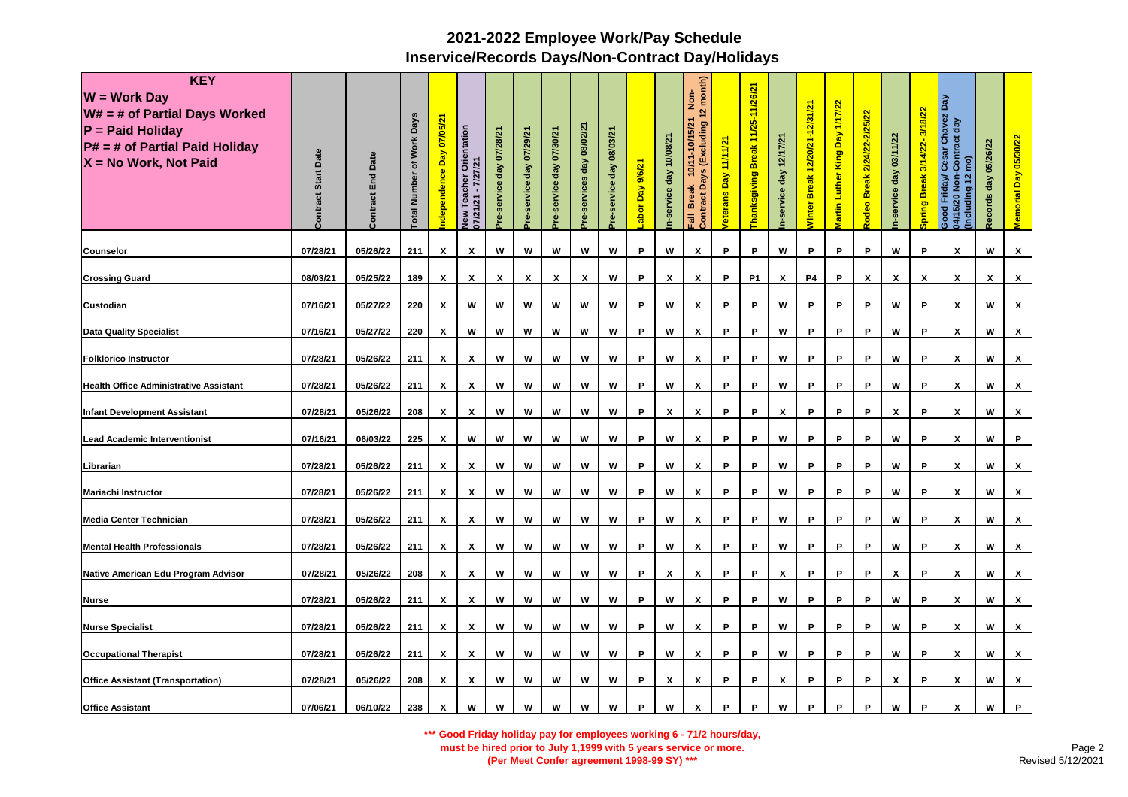| <b>KEY</b><br>$W = Work Day$<br>$W# = #$ of Partial Days Worked<br>$P =$ Paid Holiday<br>$P# = #$ of Partial Paid Holiday<br>X = No Work, Not Paid | Date<br>Start<br>Contract | <b>Contract End Date</b> | otal Number of Work Days | 07/05/21<br>ndependence Day | Orientation<br>7/27/21<br>Teacher<br>07/21/21<br>New | Pre-service day 07/28/21 | Pre-service day 07/29/21 | Pre-service day 07/30/21 | Pre-services day 08/02/21 | 08/03/21<br>day<br>service | abor Day 9/6/21. | day 10/08/21<br>n-service | (Excluding 12 month)<br><u>ş</u><br>10/11-10/15/21<br><b>Days</b><br><b>Break</b><br>Contract<br><b>Fail</b> | 11/11/21<br><b>/eterans Day</b> | Break 11/25-11/26/21<br><b>hanksgiving</b> | n-service day 12/17/21 | Winter Break 12/20/21-12/31/21 | King Day 1/17/22<br><b>Martin Luther</b> | <b>Break 2/24/22-2/25/22</b><br>Rodeo | n-service day 03/11/22 | Spring Break 3/14/22-3/18/22 | Cesar Chavez Day<br>-Contract day<br>(ou<br>Good Friday/ C<br>04/15/20 Non-0<br>Including 12 | 05/26/22<br>Records day | Memorial Day 05/30/22 |
|----------------------------------------------------------------------------------------------------------------------------------------------------|---------------------------|--------------------------|--------------------------|-----------------------------|------------------------------------------------------|--------------------------|--------------------------|--------------------------|---------------------------|----------------------------|------------------|---------------------------|--------------------------------------------------------------------------------------------------------------|---------------------------------|--------------------------------------------|------------------------|--------------------------------|------------------------------------------|---------------------------------------|------------------------|------------------------------|----------------------------------------------------------------------------------------------|-------------------------|-----------------------|
| <b>Counselor</b>                                                                                                                                   | 07/28/21                  | 05/26/22                 | 211                      | X                           | X                                                    | W                        | W                        | W                        | W                         | W                          | P                | W                         | X                                                                                                            | P                               | P                                          | W                      | P                              | P                                        | P                                     | w                      | P                            | X                                                                                            | W                       | x                     |
| <b>Crossing Guard</b>                                                                                                                              | 08/03/21                  | 05/25/22                 | 189                      | х                           | X                                                    | X                        | X                        | X                        | X                         | W                          | P                | X                         | X                                                                                                            | P                               | <b>P1</b>                                  | X                      | <b>P4</b>                      | P                                        | X                                     | X                      | X                            | X                                                                                            | X                       | X                     |
| <b>Custodian</b>                                                                                                                                   | 07/16/21                  | 05/27/22                 | 220                      | X                           | w                                                    | W                        | w                        | W                        | W                         | W                          | P                | w                         | X                                                                                                            | P                               | P                                          | W                      | P                              | P                                        | P                                     | w                      | P                            | X                                                                                            | W                       | X                     |
| <b>Data Quality Specialist</b>                                                                                                                     | 07/16/21                  | 05/27/22                 | 220                      | х                           | W                                                    | w                        | W                        | W                        | W                         | W                          | P                | w                         | x                                                                                                            | P                               | P                                          | W                      | P                              | P                                        | P                                     | W                      | P                            | X                                                                                            | W                       | X                     |
| <b>Folklorico Instructor</b>                                                                                                                       | 07/28/21                  | 05/26/22                 | 211                      | X                           | X                                                    | W                        | W                        | W                        | W                         | W                          | P                | w                         | X                                                                                                            | P                               | P                                          | W                      | P                              | P                                        | P                                     | W                      | P                            | X                                                                                            | W                       | X                     |
| <b>Health Office Administrative Assistant</b>                                                                                                      | 07/28/21                  | 05/26/22                 | 211                      | х                           | X                                                    | W                        | w                        | W                        | w                         | W                          | P                | w                         | х                                                                                                            | P                               | P                                          | W                      | P                              | P                                        | P                                     | w                      | P                            | х                                                                                            | W                       | x                     |
| <b>Infant Development Assistant</b>                                                                                                                | 07/28/21                  | 05/26/22                 | 208                      | X                           | X                                                    | W                        | w                        | W                        | W                         | W                          | P                | $\pmb{\mathsf{x}}$        | X                                                                                                            | P                               | P                                          | X                      | P                              | P                                        | P                                     | X                      | P                            | X                                                                                            | w                       | <b>X</b>              |
| <b>Lead Academic Interventionist</b>                                                                                                               | 07/16/21                  | 06/03/22                 | 225                      | X                           | W                                                    | W                        | w                        | W                        | W                         | W                          | P                | W                         | $\pmb{\chi}$                                                                                                 | P                               | P                                          | W                      | P                              | P                                        | P                                     | W                      | $\mathsf P$                  | X                                                                                            | W                       | P.                    |
| Librarian                                                                                                                                          | 07/28/21                  | 05/26/22                 | 211                      | X                           | X                                                    | W                        | W                        | W                        | W                         | W                          | P                | W                         | X                                                                                                            | P                               | P                                          | W                      | P                              | P                                        | P                                     | W                      | P                            | X                                                                                            | W                       | x                     |
| <b>Mariachi Instructor</b>                                                                                                                         | 07/28/21                  | 05/26/22                 | 211                      | X                           | X                                                    | W                        | W                        | W                        | W                         | W                          | P                | w                         | X                                                                                                            | P                               | P                                          | W                      | P                              | P                                        | P                                     | w                      | P                            | X                                                                                            | W                       | <b>X</b>              |
| <b>Media Center Technician</b>                                                                                                                     | 07/28/21                  | 05/26/22                 | 211                      | X                           | X                                                    | W                        | w                        | W                        | W                         | W                          | P                | w                         | X                                                                                                            | P                               | P                                          | W                      | P                              | P                                        | P                                     | w                      | P                            | X                                                                                            | W                       | x                     |
| <b>Mental Health Professionals</b>                                                                                                                 | 07/28/21                  | 05/26/22                 | 211                      | X                           | X                                                    | W                        | W                        | W                        | W                         | W                          | P                | w                         | X                                                                                                            | P                               | P                                          | W                      | P                              | P                                        | P                                     | W                      | P                            | X                                                                                            | W                       | x                     |
| Native American Edu Program Advisor                                                                                                                | 07/28/21                  | 05/26/22                 | 208                      | X                           | X                                                    | w                        | W                        | W                        | W                         | W                          | P                | X                         | X                                                                                                            | P                               | P                                          | X                      | P                              | P                                        | P                                     | X                      | P                            | X                                                                                            | W                       | X                     |
| <b>Nurse</b>                                                                                                                                       | 07/28/21                  | 05/26/22                 | 211                      | X                           | X                                                    | W                        | W                        | W                        | W                         | W                          | P                | w                         | x                                                                                                            | P                               | P                                          | W                      | P                              | P                                        | P                                     | W                      | P                            | X                                                                                            | W                       | X                     |
| <b>Nurse Specialist</b>                                                                                                                            | 07/28/21                  | 05/26/22                 | 211                      | х                           | х                                                    | W                        | W                        | W                        | W                         | W                          | P                | w                         | х                                                                                                            | P                               | P                                          | W                      | P                              | P                                        | P                                     | W                      | P                            | X                                                                                            | W                       | X                     |
| <b>Occupational Therapist</b>                                                                                                                      | 07/28/21                  | 05/26/22                 | 211                      | x                           | X                                                    | w                        | w                        | W                        | w                         | W                          | P                | W                         | X                                                                                                            | P                               | P                                          | W                      | P                              | P                                        | P                                     | w                      | P                            | x                                                                                            | W                       | x                     |
| <b>Office Assistant (Transportation)</b>                                                                                                           | 07/28/21                  | 05/26/22                 | 208                      | X                           | X                                                    | W                        | W                        | W                        | W                         | W                          | P                | X                         | X                                                                                                            | P                               | P                                          | X                      | P                              | P                                        | P                                     | X                      | P                            | X                                                                                            | W                       | x                     |
| <b>Office Assistant</b>                                                                                                                            | 07/06/21                  | 06/10/22                 | 238                      | X                           | W                                                    | W                        | W                        | W                        | W                         | W                          | P                | W                         | X                                                                                                            | P                               | P                                          | W                      | P                              | P                                        | P                                     | W                      | P                            | X                                                                                            | W                       | P.                    |

**\*\*\* Good Friday holiday pay for employees working 6 - 71/2 hours/day,** 

**must be hired prior to July 1,1999 with 5 years service or more.** 

**(Per Meet Confer agreement 1998-99 SY) \*\*\***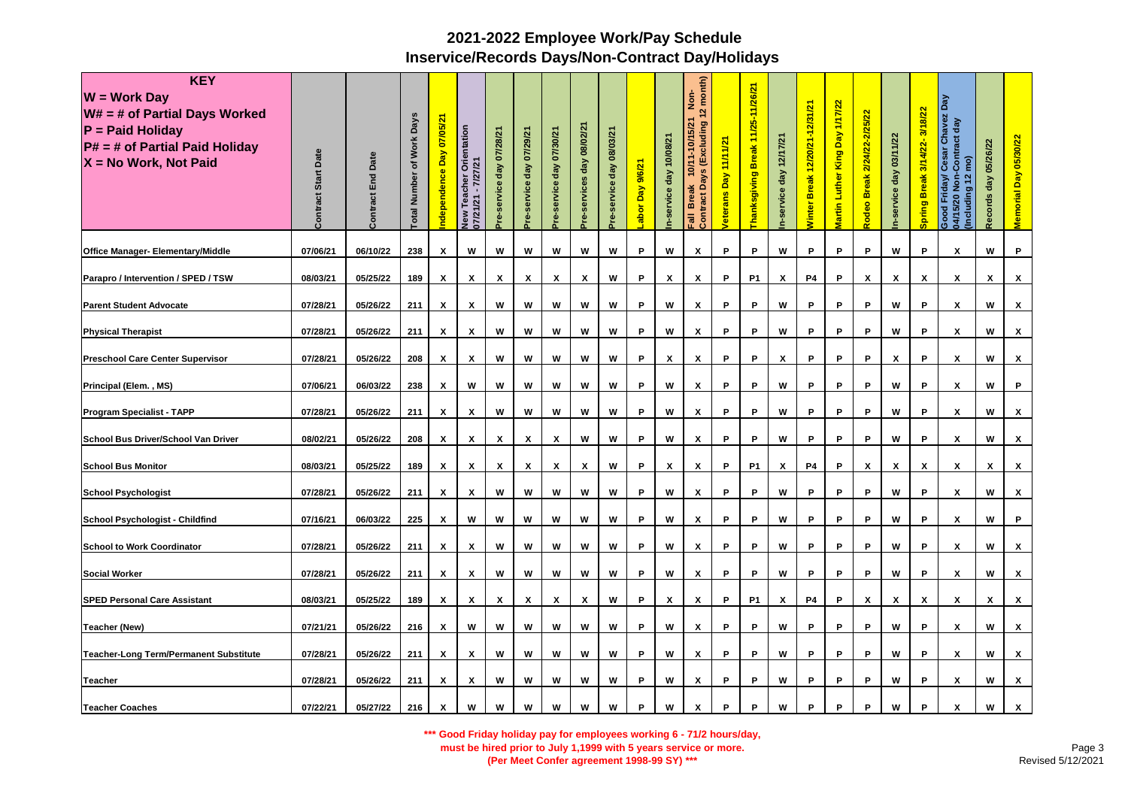| <b>KEY</b><br>$W = Work Day$<br>$W# = #$ of Partial Days Worked<br>$P =$ Paid Holiday<br>P# = # of Partial Paid Holiday<br>X = No Work, Not Paid | Date<br>Start<br>Contract | <b>Contract End Date</b> | otal Number of Work Days | 07/05/21<br>ndependence Day | Orientation<br>7/27/21<br>Teacher<br>$\blacksquare$<br>1/21<br>07/21<br><b>Vew</b> | re-service day 07/28/21 | Pre-service day 07/29/21 | re-service day 07/30/21 | Pre-services day 08/02/21 | 08/03/21<br>day<br>service | abor Day 9/6/21 | day 10/08/21<br>service | Days (Excluding 12 month)<br><u>ş</u><br>10/11-10/15/21<br><b>Break</b><br><b>Contract</b><br>lle <sub>3</sub> | Day 11/11/21<br><b>/eterans</b> | Thanksgiving Break 11/25-11/26/21 | service day 12/17/21 | <b>Ninter Break 12/20/21-12/31/21</b> | Martin Luther King Day 1/17/22 | <b>Break 2/24/22-2/25/22</b><br>Rodeo <sup>l</sup> | n-service day 03/11/22 | Spring Break 3/14/22-3/18/22 | <b>Chavez Day</b><br>act day<br>Cesar Chi<br>-Contract<br>$\widehat{\mathsf{P}}$<br>Friday/<br>$\ddot{ }$<br>$\frac{5}{2}$<br>Including<br>$\overline{20}$<br>Good<br>$\mathbb{F}$ | day 05/26/22<br>ecords | Memorial Day 05/30/22 |
|--------------------------------------------------------------------------------------------------------------------------------------------------|---------------------------|--------------------------|--------------------------|-----------------------------|------------------------------------------------------------------------------------|-------------------------|--------------------------|-------------------------|---------------------------|----------------------------|-----------------|-------------------------|----------------------------------------------------------------------------------------------------------------|---------------------------------|-----------------------------------|----------------------|---------------------------------------|--------------------------------|----------------------------------------------------|------------------------|------------------------------|------------------------------------------------------------------------------------------------------------------------------------------------------------------------------------|------------------------|-----------------------|
| Office Manager- Elementary/Middle                                                                                                                | 07/06/21                  | 06/10/22                 | 238                      | X                           | W                                                                                  | W                       | W                        | W                       | W                         | W                          | P               | W                       | X                                                                                                              | P                               | P                                 | W                    | P                                     | P                              | P                                                  | W                      | P                            | X                                                                                                                                                                                  | W                      | P                     |
| Parapro / Intervention / SPED / TSW                                                                                                              | 08/03/21                  | 05/25/22                 | 189                      | X                           | X                                                                                  | х                       | X                        | X                       | X                         | W                          | P               | $\pmb{\chi}$            | X                                                                                                              | P                               | P <sub>1</sub>                    | Х                    | P4                                    | P                              | X                                                  | X                      | $\pmb{\chi}$                 | X                                                                                                                                                                                  | X                      | X                     |
| <b>Parent Student Advocate</b>                                                                                                                   | 07/28/21                  | 05/26/22                 | 211                      | X                           | X                                                                                  | W                       | W                        | W                       | W                         | W                          | P               | w                       | X                                                                                                              | P                               | P                                 | W                    | P                                     | P                              | P                                                  | W                      | P                            | X                                                                                                                                                                                  | W                      | x                     |
| <b>Physical Therapist</b>                                                                                                                        | 07/28/21                  | 05/26/22                 | 211                      | X                           | X                                                                                  | W                       | w                        | W                       | W                         | W                          | P               | w                       | $\boldsymbol{x}$                                                                                               | P                               | P                                 | W                    | P                                     | P                              | P                                                  | w                      | P                            | X                                                                                                                                                                                  | W                      | X                     |
| <b>Preschool Care Center Supervisor</b>                                                                                                          | 07/28/21                  | 05/26/22                 | 208                      | X                           | X                                                                                  | W                       | w                        | W                       | W                         | W                          | P               | $\mathsf{x}$            | X                                                                                                              | P                               | P                                 | X                    | P                                     | P                              | P                                                  | X                      | P                            | X                                                                                                                                                                                  | w                      | <b>X</b>              |
| Principal (Elem., MS)                                                                                                                            | 07/06/21                  | 06/03/22                 | 238                      | X                           | W                                                                                  | W                       | w                        | W                       | W                         | W                          | P               | W                       | $\pmb{\chi}$                                                                                                   | P                               | P                                 | W                    | P                                     | P                              | P                                                  | w                      | $\mathsf P$                  | х                                                                                                                                                                                  | W                      | P                     |
| <b>Program Specialist - TAPP</b>                                                                                                                 | 07/28/21                  | 05/26/22                 | 211                      | X                           | X                                                                                  | W                       | W                        | W                       | W                         | W                          | P               | w                       | X                                                                                                              | P                               | P                                 | W                    | P                                     | P                              | P                                                  | W                      | P                            | X                                                                                                                                                                                  | w                      | x                     |
| School Bus Driver/School Van Driver                                                                                                              | 08/02/21                  | 05/26/22                 | 208                      | X                           | X                                                                                  | X                       | X                        | $\boldsymbol{x}$        | W                         | W                          | P               | w                       | X                                                                                                              | P                               | P                                 | W                    | P                                     | P                              | P                                                  | w                      | P                            | X                                                                                                                                                                                  | W                      | x                     |
| <b>School Bus Monitor</b>                                                                                                                        | 08/03/21                  | 05/25/22                 | 189                      | X                           | X                                                                                  | X                       | $\pmb{\mathsf{x}}$       | X                       | X                         | W                          | P               | $\pmb{\mathsf{x}}$      | X                                                                                                              | P                               | <b>P1</b>                         | X                    | P4                                    | P                              | X                                                  | X                      | X                            | X                                                                                                                                                                                  | X                      | x                     |
| <b>School Psychologist</b>                                                                                                                       | 07/28/21                  | 05/26/22                 | 211                      | x                           | X                                                                                  | W                       | w                        | W                       | W                         | W                          | P               | w                       | X                                                                                                              | P                               | P                                 | W                    | P                                     | P                              | P                                                  | w                      | P                            | X                                                                                                                                                                                  | W                      | X                     |
| <b>School Psychologist - Childfind</b>                                                                                                           | 07/16/21                  | 06/03/22                 | 225                      | х                           | W                                                                                  | W                       | W                        | W                       | W                         | W                          | P               | w                       | х                                                                                                              | P                               | P                                 | W                    | P                                     | P                              | P                                                  | w                      | P                            | Х                                                                                                                                                                                  | W                      | P                     |
| <b>School to Work Coordinator</b>                                                                                                                | 07/28/21                  | 05/26/22                 | 211                      | X                           | X                                                                                  | W                       | W                        | W                       | W                         | W                          | P               | w                       | X                                                                                                              | P                               | P                                 | W                    | P                                     | P                              | P                                                  | W                      | P                            | X                                                                                                                                                                                  | W                      | X                     |
| <b>Social Worker</b>                                                                                                                             | 07/28/21                  | 05/26/22                 | 211                      | X                           | X                                                                                  | W                       | w                        | W                       | W                         | W                          | P               | W                       | X                                                                                                              | P                               | P                                 | W                    | P                                     | P                              | P                                                  | w                      | P                            | х                                                                                                                                                                                  | W                      | x                     |
| <b>SPED Personal Care Assistant</b>                                                                                                              | 08/03/21                  | 05/25/22                 | 189                      | X                           | X                                                                                  | X                       | X                        | X                       | X                         | W                          | P               | $\pmb{\mathsf{x}}$      | X                                                                                                              | P                               | <b>P1</b>                         | X                    | P4                                    | P                              | X                                                  | X                      | $\mathbf{x}$                 | x                                                                                                                                                                                  | X                      | <b>X</b>              |
| <b>Teacher (New)</b>                                                                                                                             | 07/21/21                  | 05/26/22                 | 216                      | $\boldsymbol{\mathsf{x}}$   | W                                                                                  | W                       | w                        | W                       | W                         | W                          | P               | W                       | X                                                                                                              | P                               | P                                 | W                    | P                                     | P                              | P                                                  | w                      | P                            | X                                                                                                                                                                                  | W                      | <b>X</b>              |
| <b>Teacher-Long Term/Permanent Substitute</b>                                                                                                    | 07/28/21                  | 05/26/22                 | 211                      | X                           | X                                                                                  | W                       | w                        | W                       | w                         | W                          | P               | W                       | X                                                                                                              | P                               | P                                 | W                    | P                                     | P                              | P                                                  | W                      | P                            | X                                                                                                                                                                                  | W                      | x                     |
| <b>Teacher</b>                                                                                                                                   | 07/28/21                  | 05/26/22                 | 211                      | $\boldsymbol{\mathsf{x}}$   | X                                                                                  | W                       | W                        | W                       | W                         | W                          | P               | w                       | X                                                                                                              | P                               | P                                 | W                    | P                                     | P                              | P                                                  | w                      | P                            | X                                                                                                                                                                                  | W                      | <b>X</b>              |
| <b>Teacher Coaches</b>                                                                                                                           | 07/22/21                  | 05/27/22                 | 216                      | X                           | W                                                                                  | W                       | W                        | W                       | W                         | W                          | P               | W                       | X                                                                                                              | P                               | P                                 | W                    | P                                     | P                              | P                                                  | W                      | P                            | X                                                                                                                                                                                  | W                      | X                     |

**\*\*\* Good Friday holiday pay for employees working 6 - 71/2 hours/day,** 

**must be hired prior to July 1,1999 with 5 years service or more.** 

**(Per Meet Confer agreement 1998-99 SY) \*\*\***